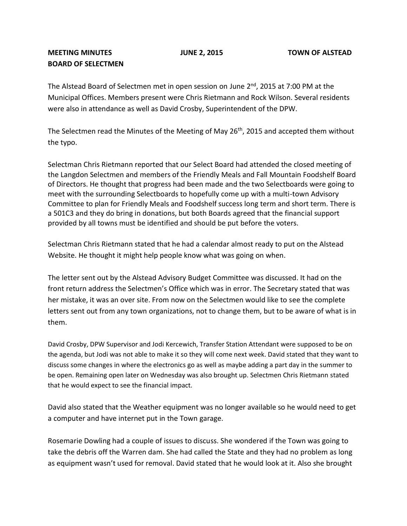## **MEETING MINUTES JUNE 2, 2015 TOWN OF ALSTEAD BOARD OF SELECTMEN**

The Alstead Board of Selectmen met in open session on June 2<sup>nd</sup>, 2015 at 7:00 PM at the Municipal Offices. Members present were Chris Rietmann and Rock Wilson. Several residents were also in attendance as well as David Crosby, Superintendent of the DPW.

The Selectmen read the Minutes of the Meeting of May 26<sup>th</sup>, 2015 and accepted them without the typo.

Selectman Chris Rietmann reported that our Select Board had attended the closed meeting of the Langdon Selectmen and members of the Friendly Meals and Fall Mountain Foodshelf Board of Directors. He thought that progress had been made and the two Selectboards were going to meet with the surrounding Selectboards to hopefully come up with a multi-town Advisory Committee to plan for Friendly Meals and Foodshelf success long term and short term. There is a 501C3 and they do bring in donations, but both Boards agreed that the financial support provided by all towns must be identified and should be put before the voters.

Selectman Chris Rietmann stated that he had a calendar almost ready to put on the Alstead Website. He thought it might help people know what was going on when.

The letter sent out by the Alstead Advisory Budget Committee was discussed. It had on the front return address the Selectmen's Office which was in error. The Secretary stated that was her mistake, it was an over site. From now on the Selectmen would like to see the complete letters sent out from any town organizations, not to change them, but to be aware of what is in them.

David Crosby, DPW Supervisor and Jodi Kercewich, Transfer Station Attendant were supposed to be on the agenda, but Jodi was not able to make it so they will come next week. David stated that they want to discuss some changes in where the electronics go as well as maybe adding a part day in the summer to be open. Remaining open later on Wednesday was also brought up. Selectmen Chris Rietmann stated that he would expect to see the financial impact.

David also stated that the Weather equipment was no longer available so he would need to get a computer and have internet put in the Town garage.

Rosemarie Dowling had a couple of issues to discuss. She wondered if the Town was going to take the debris off the Warren dam. She had called the State and they had no problem as long as equipment wasn't used for removal. David stated that he would look at it. Also she brought